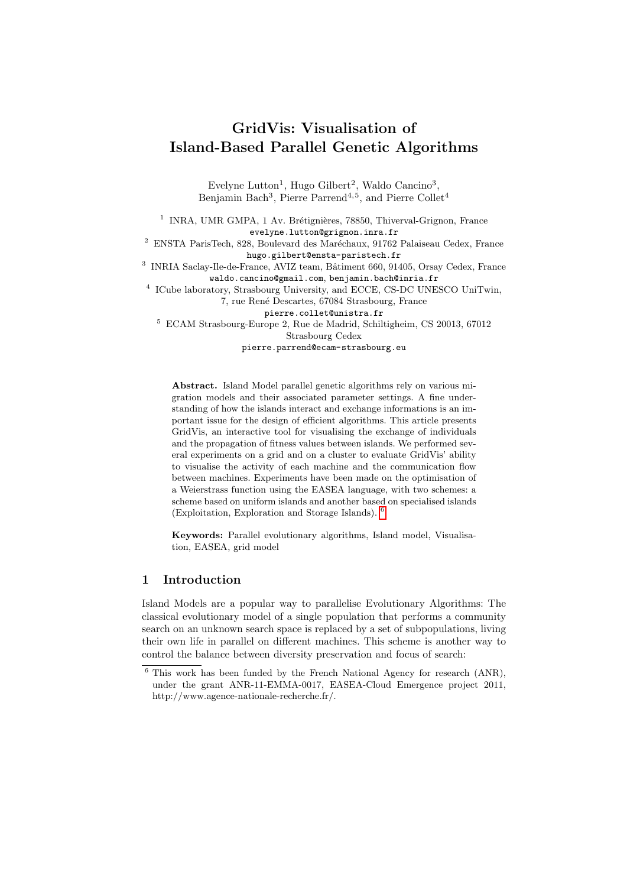# GridVis: Visualisation of Island-Based Parallel Genetic Algorithms

Evelyne Lutton<sup>1</sup>, Hugo Gilbert<sup>2</sup>, Waldo Cancino<sup>3</sup>, Benjamin Bach<sup>3</sup>, Pierre Parrend<sup>4,5</sup>, and Pierre Collet<sup>4</sup>

<sup>1</sup> INRA, UMR GMPA, 1 Av. Brétignières, 78850, Thiverval-Grignon, France evelyne.lutton@grignon.inra.fr <sup>2</sup> ENSTA ParisTech, 828, Boulevard des Maréchaux, 91762 Palaiseau Cedex, France hugo.gilbert@ensta-paristech.fr <sup>3</sup> INRIA Saclay-Ile-de-France, AVIZ team, Bâtiment 660, 91405, Orsay Cedex, France waldo.cancino@gmail.com, benjamin.bach@inria.fr <sup>4</sup> ICube laboratory, Strasbourg University, and ECCE, CS-DC UNESCO UniTwin, 7, rue René Descartes, 67084 Strasbourg, France pierre.collet@unistra.fr

<sup>5</sup> ECAM Strasbourg-Europe 2, Rue de Madrid, Schiltigheim, CS 20013, 67012 Strasbourg Cedex

pierre.parrend@ecam-strasbourg.eu

Abstract. Island Model parallel genetic algorithms rely on various migration models and their associated parameter settings. A fine understanding of how the islands interact and exchange informations is an important issue for the design of efficient algorithms. This article presents GridVis, an interactive tool for visualising the exchange of individuals and the propagation of fitness values between islands. We performed several experiments on a grid and on a cluster to evaluate GridVis' ability to visualise the activity of each machine and the communication flow between machines. Experiments have been made on the optimisation of a Weierstrass function using the EASEA language, with two schemes: a scheme based on uniform islands and another based on specialised islands (Exploitation, Exploration and Storage Islands). [6](#page-0-0)

Keywords: Parallel evolutionary algorithms, Island model, Visualisation, EASEA, grid model

# 1 Introduction

Island Models are a popular way to parallelise Evolutionary Algorithms: The classical evolutionary model of a single population that performs a community search on an unknown search space is replaced by a set of subpopulations, living their own life in parallel on different machines. This scheme is another way to control the balance between diversity preservation and focus of search:

<span id="page-0-0"></span> $6$  This work has been funded by the French National Agency for research (ANR), under the grant ANR-11-EMMA-0017, EASEA-Cloud Emergence project 2011, http://www.agence-nationale-recherche.fr/.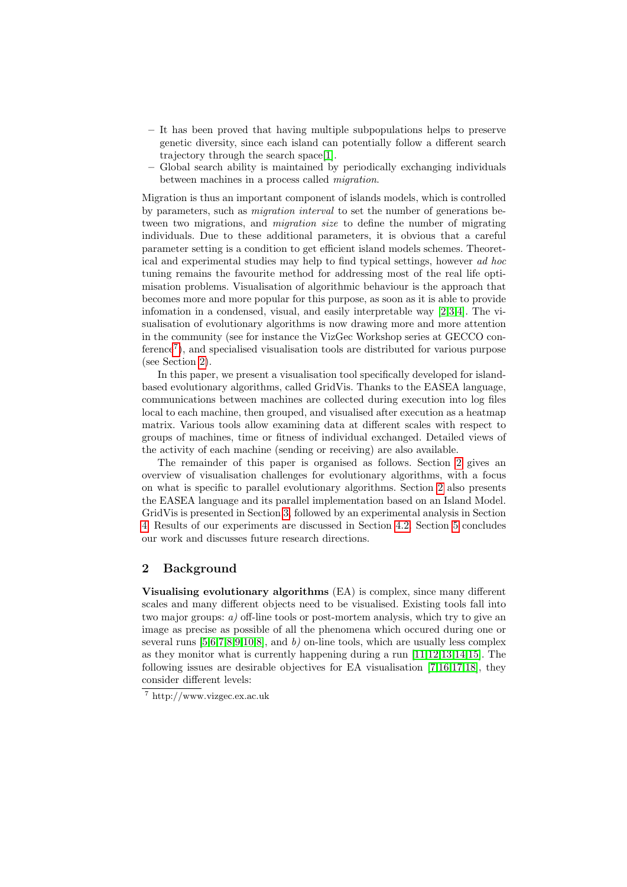- It has been proved that having multiple subpopulations helps to preserve genetic diversity, since each island can potentially follow a different search trajectory through the search space[\[1\]](#page-9-0).
- Global search ability is maintained by periodically exchanging individuals between machines in a process called migration.

Migration is thus an important component of islands models, which is controlled by parameters, such as migration interval to set the number of generations between two migrations, and *migration size* to define the number of migrating individuals. Due to these additional parameters, it is obvious that a careful parameter setting is a condition to get efficient island models schemes. Theoretical and experimental studies may help to find typical settings, however ad hoc tuning remains the favourite method for addressing most of the real life optimisation problems. Visualisation of algorithmic behaviour is the approach that becomes more and more popular for this purpose, as soon as it is able to provide infomation in a condensed, visual, and easily interpretable way [\[2](#page-10-0)[,3](#page-10-1)[,4\]](#page-10-2). The visualisation of evolutionary algorithms is now drawing more and more attention in the community (see for instance the VizGec Workshop series at GECCO conference[7](#page-1-0) ), and specialised visualisation tools are distributed for various purpose (see Section [2\)](#page-1-1).

In this paper, we present a visualisation tool specifically developed for islandbased evolutionary algorithms, called GridVis. Thanks to the EASEA language, communications between machines are collected during execution into log files local to each machine, then grouped, and visualised after execution as a heatmap matrix. Various tools allow examining data at different scales with respect to groups of machines, time or fitness of individual exchanged. Detailed views of the activity of each machine (sending or receiving) are also available.

The remainder of this paper is organised as follows. Section [2](#page-1-1) gives an overview of visualisation challenges for evolutionary algorithms, with a focus on what is specific to parallel evolutionary algorithms. Section [2](#page-1-1) also presents the EASEA language and its parallel implementation based on an Island Model. GridVis is presented in Section [3,](#page-3-0) followed by an experimental analysis in Section [4.](#page-6-0) Results of our experiments are discussed in Section [4.2.](#page-6-1) Section [5](#page-9-1) concludes our work and discusses future research directions.

## <span id="page-1-1"></span>2 Background

Visualising evolutionary algorithms (EA) is complex, since many different scales and many different objects need to be visualised. Existing tools fall into two major groups: a) off-line tools or post-mortem analysis, which try to give an image as precise as possible of all the phenomena which occured during one or several runs  $[5,6,7,8,9,10,8]$  $[5,6,7,8,9,10,8]$  $[5,6,7,8,9,10,8]$  $[5,6,7,8,9,10,8]$  $[5,6,7,8,9,10,8]$  $[5,6,7,8,9,10,8]$  $[5,6,7,8,9,10,8]$ , and b) on-line tools, which are usually less complex as they monitor what is currently happening during a run [\[11](#page-10-9)[,12](#page-10-10)[,13](#page-10-11)[,14,](#page-10-12)[15\]](#page-10-13). The following issues are desirable objectives for EA visualisation [\[7](#page-10-5)[,16](#page-10-14)[,17,](#page-10-15)[18\]](#page-10-16), they consider different levels:

<span id="page-1-0"></span><sup>7</sup> http://www.vizgec.ex.ac.uk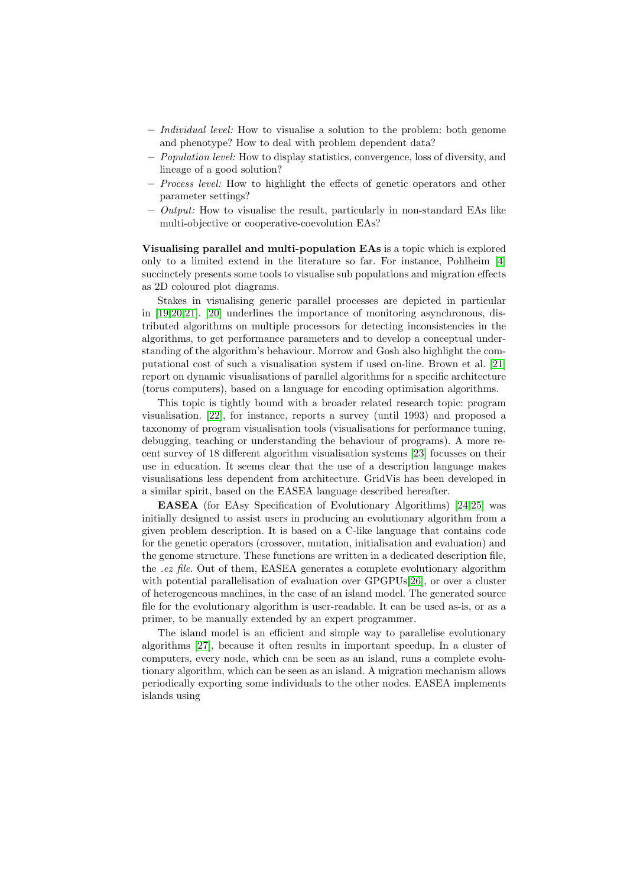- Individual level: How to visualise a solution to the problem: both genome and phenotype? How to deal with problem dependent data?
- Population level: How to display statistics, convergence, loss of diversity, and lineage of a good solution?
- Process level: How to highlight the effects of genetic operators and other parameter settings?
- $-$  *Output:* How to visualise the result, particularly in non-standard EAs like multi-objective or cooperative-coevolution EAs?

Visualising parallel and multi-population EAs is a topic which is explored only to a limited extend in the literature so far. For instance, Pohlheim [\[4\]](#page-10-2) succinctely presents some tools to visualise sub populations and migration effects as 2D coloured plot diagrams.

Stakes in visualising generic parallel processes are depicted in particular in [\[19](#page-10-17)[,20,](#page-11-0)[21\]](#page-11-1). [\[20\]](#page-11-0) underlines the importance of monitoring asynchronous, distributed algorithms on multiple processors for detecting inconsistencies in the algorithms, to get performance parameters and to develop a conceptual understanding of the algorithm's behaviour. Morrow and Gosh also highlight the computational cost of such a visualisation system if used on-line. Brown et al. [\[21\]](#page-11-1) report on dynamic visualisations of parallel algorithms for a specific architecture (torus computers), based on a language for encoding optimisation algorithms.

This topic is tightly bound with a broader related research topic: program visualisation. [\[22\]](#page-11-2), for instance, reports a survey (until 1993) and proposed a taxonomy of program visualisation tools (visualisations for performance tuning, debugging, teaching or understanding the behaviour of programs). A more recent survey of 18 different algorithm visualisation systems [\[23\]](#page-11-3) focusses on their use in education. It seems clear that the use of a description language makes visualisations less dependent from architecture. GridVis has been developed in a similar spirit, based on the EASEA language described hereafter.

EASEA (for EAsy Specification of Evolutionary Algorithms) [\[24](#page-11-4)[,25\]](#page-11-5) was initially designed to assist users in producing an evolutionary algorithm from a given problem description. It is based on a C-like language that contains code for the genetic operators (crossover, mutation, initialisation and evaluation) and the genome structure. These functions are written in a dedicated description file, the .ez file. Out of them, EASEA generates a complete evolutionary algorithm with potential parallelisation of evaluation over GPGPUs[\[26\]](#page-11-6), or over a cluster of heterogeneous machines, in the case of an island model. The generated source file for the evolutionary algorithm is user-readable. It can be used as-is, or as a primer, to be manually extended by an expert programmer.

The island model is an efficient and simple way to parallelise evolutionary algorithms [\[27\]](#page-11-7), because it often results in important speedup. In a cluster of computers, every node, which can be seen as an island, runs a complete evolutionary algorithm, which can be seen as an island. A migration mechanism allows periodically exporting some individuals to the other nodes. EASEA implements islands using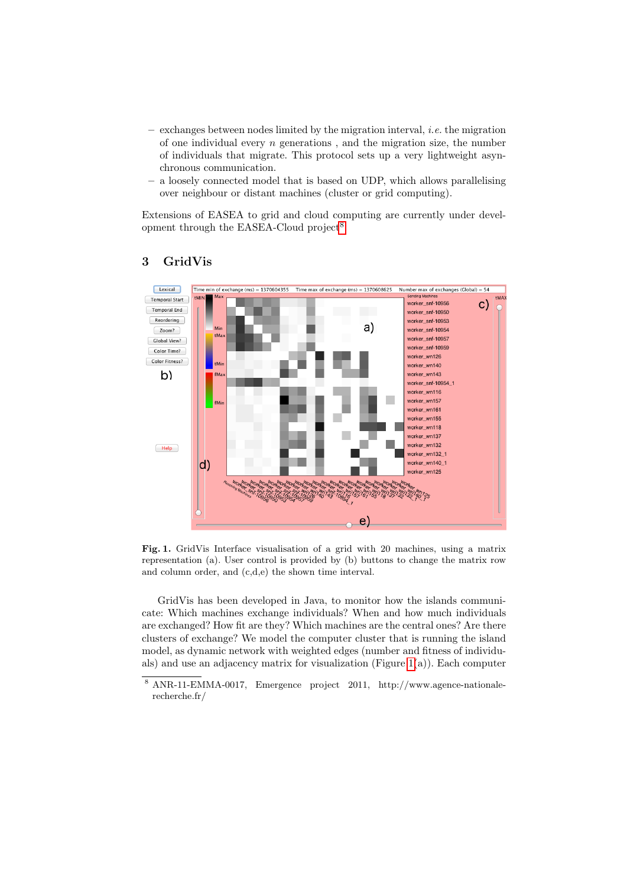- exchanges between nodes limited by the migration interval, i.e. the migration of one individual every  $n$  generations, and the migration size, the number of individuals that migrate. This protocol sets up a very lightweight asynchronous communication.
- a loosely connected model that is based on UDP, which allows parallelising over neighbour or distant machines (cluster or grid computing).

Extensions of EASEA to grid and cloud computing are currently under devel-opment through the EASEA-Cloud project<sup>[8](#page-3-1)</sup>.



# <span id="page-3-0"></span>3 GridVis

<span id="page-3-2"></span>Fig. 1. GridVis Interface visualisation of a grid with 20 machines, using a matrix representation (a). User control is provided by (b) buttons to change the matrix row and column order, and (c,d,e) the shown time interval.

GridVis has been developed in Java, to monitor how the islands communicate: Which machines exchange individuals? When and how much individuals are exchanged? How fit are they? Which machines are the central ones? Are there clusters of exchange? We model the computer cluster that is running the island model, as dynamic network with weighted edges (number and fitness of individuals) and use an adjacency matrix for visualization (Figure [1\(](#page-3-2)a)). Each computer

<span id="page-3-1"></span><sup>8</sup> ANR-11-EMMA-0017, Emergence project 2011, http://www.agence-nationalerecherche.fr/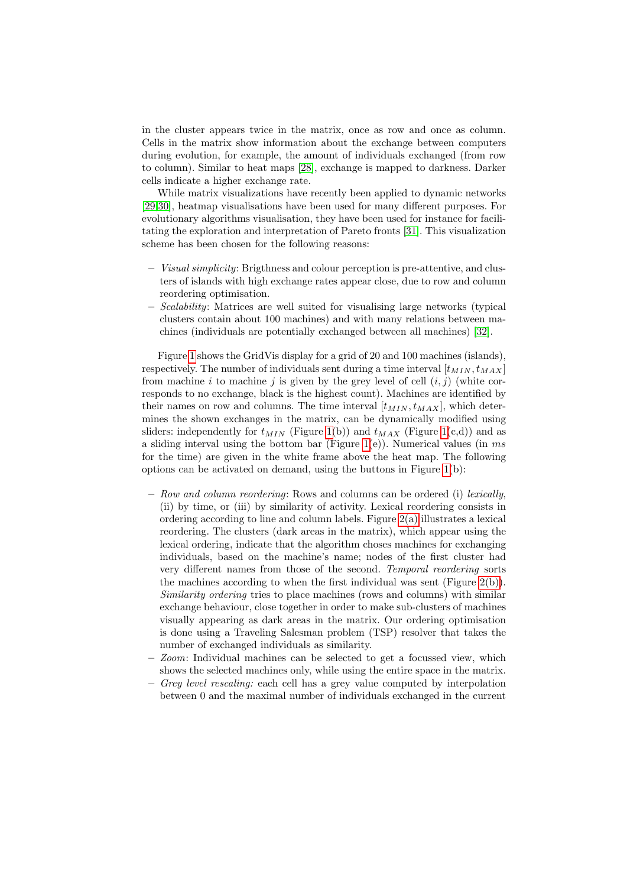in the cluster appears twice in the matrix, once as row and once as column. Cells in the matrix show information about the exchange between computers during evolution, for example, the amount of individuals exchanged (from row to column). Similar to heat maps [\[28\]](#page-11-8), exchange is mapped to darkness. Darker cells indicate a higher exchange rate.

While matrix visualizations have recently been applied to dynamic networks [\[29](#page-11-9)[,30\]](#page-11-10), heatmap visualisations have been used for many different purposes. For evolutionary algorithms visualisation, they have been used for instance for facilitating the exploration and interpretation of Pareto fronts [\[31\]](#page-11-11). This visualization scheme has been chosen for the following reasons:

- Visual simplicity: Brigthness and colour perception is pre-attentive, and clusters of islands with high exchange rates appear close, due to row and column reordering optimisation.
- Scalability: Matrices are well suited for visualising large networks (typical clusters contain about 100 machines) and with many relations between machines (individuals are potentially exchanged between all machines) [\[32\]](#page-11-12).

Figure [1](#page-3-2) shows the GridVis display for a grid of 20 and 100 machines (islands), respectively. The number of individuals sent during a time interval  $[t_{MIN}, t_{MAX}]$ from machine i to machine j is given by the grey level of cell  $(i, j)$  (white corresponds to no exchange, black is the highest count). Machines are identified by their names on row and columns. The time interval  $[t_{MIN}, t_{MAX}]$ , which determines the shown exchanges in the matrix, can be dynamically modified using sliders: independently for  $t_{MIN}$  (Figure [1\(](#page-3-2)b)) and  $t_{MAX}$  (Figure 1(c,d)) and as a sliding interval using the bottom bar (Figure [1\(](#page-3-2)e)). Numerical values (in  $ms$ for the time) are given in the white frame above the heat map. The following options can be activated on demand, using the buttons in Figure [1\(](#page-3-2)b):

- Row and column reordering: Rows and columns can be ordered (i) lexically, (ii) by time, or (iii) by similarity of activity. Lexical reordering consists in ordering according to line and column labels. Figure [2\(a\)](#page-5-0) illustrates a lexical reordering. The clusters (dark areas in the matrix), which appear using the lexical ordering, indicate that the algorithm choses machines for exchanging individuals, based on the machine's name; nodes of the first cluster had very different names from those of the second. Temporal reordering sorts the machines according to when the first individual was sent (Figure [2\(b\)\)](#page-5-1). Similarity ordering tries to place machines (rows and columns) with similar exchange behaviour, close together in order to make sub-clusters of machines visually appearing as dark areas in the matrix. Our ordering optimisation is done using a Traveling Salesman problem (TSP) resolver that takes the number of exchanged individuals as similarity.
- Zoom: Individual machines can be selected to get a focussed view, which shows the selected machines only, while using the entire space in the matrix.
- Grey level rescaling: each cell has a grey value computed by interpolation between 0 and the maximal number of individuals exchanged in the current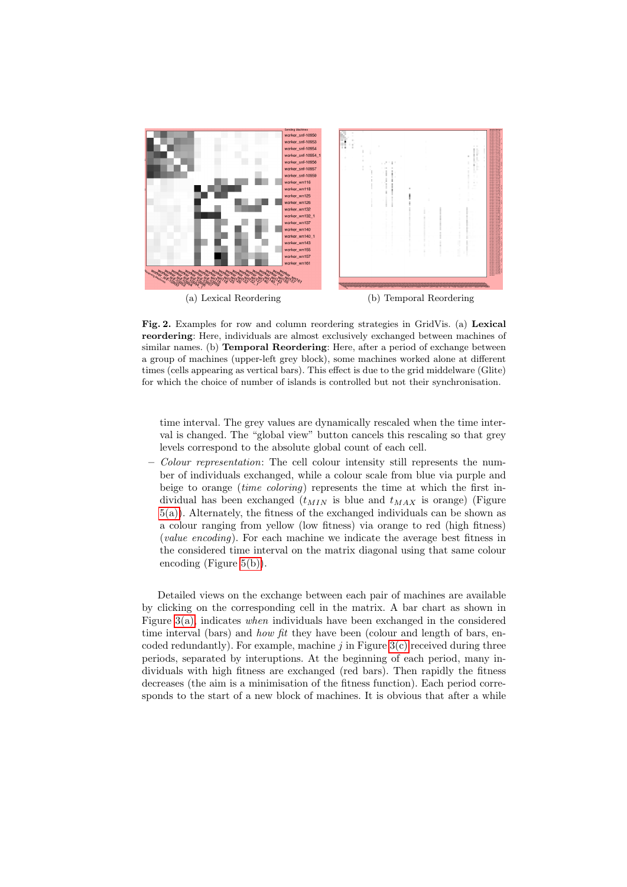<span id="page-5-0"></span>

<span id="page-5-1"></span>Fig. 2. Examples for row and column reordering strategies in GridVis. (a) Lexical reordering: Here, individuals are almost exclusively exchanged between machines of similar names. (b) Temporal Reordering: Here, after a period of exchange between a group of machines (upper-left grey block), some machines worked alone at different times (cells appearing as vertical bars). This effect is due to the grid middelware (Glite) for which the choice of number of islands is controlled but not their synchronisation.

time interval. The grey values are dynamically rescaled when the time interval is changed. The "global view" button cancels this rescaling so that grey levels correspond to the absolute global count of each cell.

– Colour representation: The cell colour intensity still represents the number of individuals exchanged, while a colour scale from blue via purple and beige to orange *(time coloring)* represents the time at which the first individual has been exchanged  $(t_{MIN}$  is blue and  $t_{MAX}$  is orange) (Figure [5\(a\)\)](#page-8-0). Alternately, the fitness of the exchanged individuals can be shown as a colour ranging from yellow (low fitness) via orange to red (high fitness) (value encoding). For each machine we indicate the average best fitness in the considered time interval on the matrix diagonal using that same colour encoding (Figure [5\(b\)\)](#page-8-1).

Detailed views on the exchange between each pair of machines are available by clicking on the corresponding cell in the matrix. A bar chart as shown in Figure  $3(a)$ , indicates when individuals have been exchanged in the considered time interval (bars) and *how fit* they have been (colour and length of bars, encoded redundantly). For example, machine  $j$  in Figure [3\(c\)](#page-6-3) received during three periods, separated by interuptions. At the beginning of each period, many individuals with high fitness are exchanged (red bars). Then rapidly the fitness decreases (the aim is a minimisation of the fitness function). Each period corresponds to the start of a new block of machines. It is obvious that after a while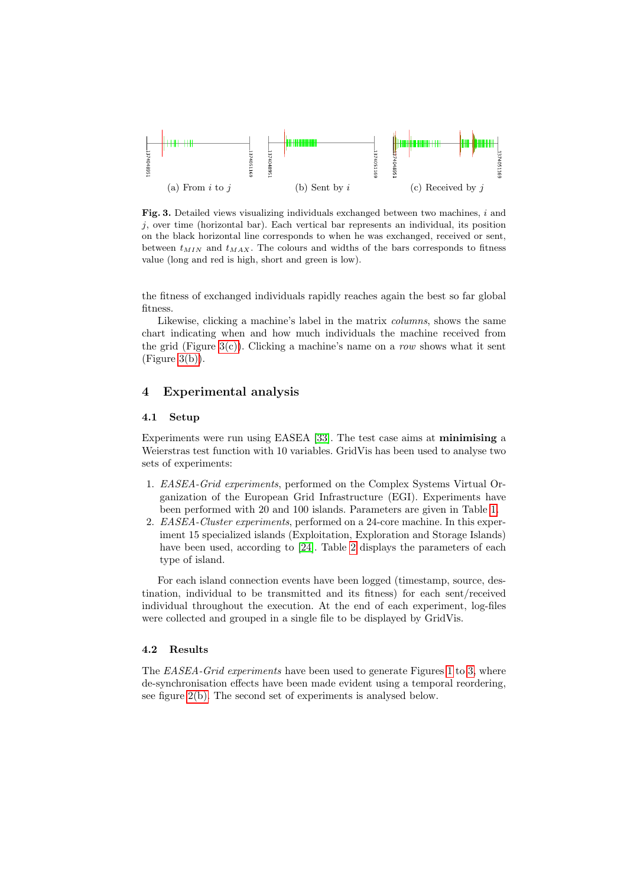<span id="page-6-2"></span>

<span id="page-6-5"></span><span id="page-6-4"></span><span id="page-6-3"></span>Fig. 3. Detailed views visualizing individuals exchanged between two machines, i and  $j$ , over time (horizontal bar). Each vertical bar represents an individual, its position on the black horizontal line corresponds to when he was exchanged, received or sent, between  $t_{MIN}$  and  $t_{MAX}$ . The colours and widths of the bars corresponds to fitness value (long and red is high, short and green is low).

the fitness of exchanged individuals rapidly reaches again the best so far global fitness.

Likewise, clicking a machine's label in the matrix columns, shows the same chart indicating when and how much individuals the machine received from the grid (Figure [3\(c\)\)](#page-6-3). Clicking a machine's name on a row shows what it sent  $(Figure 3(b)).$  $(Figure 3(b)).$  $(Figure 3(b)).$ 

# <span id="page-6-0"></span>4 Experimental analysis

#### 4.1 Setup

Experiments were run using EASEA [\[33\]](#page-11-13). The test case aims at minimising a Weierstras test function with 10 variables. GridVis has been used to analyse two sets of experiments:

- 1. EASEA-Grid experiments, performed on the Complex Systems Virtual Organization of the European Grid Infrastructure (EGI). Experiments have been performed with 20 and 100 islands. Parameters are given in Table [1.](#page-7-0)
- 2. EASEA-Cluster experiments, performed on a 24-core machine. In this experiment 15 specialized islands (Exploitation, Exploration and Storage Islands) have been used, according to [\[24\]](#page-11-4). Table [2](#page-7-1) displays the parameters of each type of island.

For each island connection events have been logged (timestamp, source, destination, individual to be transmitted and its fitness) for each sent/received individual throughout the execution. At the end of each experiment, log-files were collected and grouped in a single file to be displayed by GridVis.

#### <span id="page-6-1"></span>4.2 Results

The *EASEA-Grid experiments* have been used to generate Figures [1](#page-3-2) to [3,](#page-6-5) where de-synchronisation effects have been made evident using a temporal reordering, see figure [2\(b\).](#page-5-1) The second set of experiments is analysed below.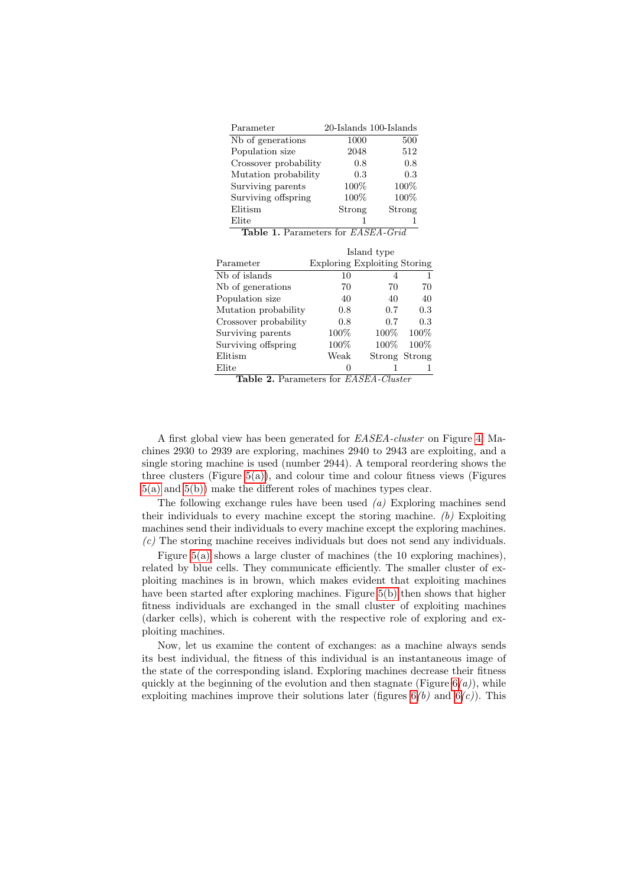<span id="page-7-0"></span>

|                                                  | 500     |                                                                                                                                              |
|--------------------------------------------------|---------|----------------------------------------------------------------------------------------------------------------------------------------------|
|                                                  | 512     |                                                                                                                                              |
| Crossover probability                            | 0.8     |                                                                                                                                              |
|                                                  | 0.3     |                                                                                                                                              |
|                                                  | $100\%$ |                                                                                                                                              |
|                                                  |         | 100%                                                                                                                                         |
|                                                  |         | Strong                                                                                                                                       |
|                                                  |         | 1                                                                                                                                            |
| <b>Table 1.</b> Parameters for <i>EASEA-Grid</i> |         |                                                                                                                                              |
| Island type                                      |         |                                                                                                                                              |
|                                                  |         |                                                                                                                                              |
| 10                                               | 4       | 1                                                                                                                                            |
| 70                                               | 70      | 70                                                                                                                                           |
| 40                                               | 40      | 40                                                                                                                                           |
| 0.8                                              | 0.7     | 0.3                                                                                                                                          |
| 0.8                                              | 0.7     | $0.3\,$                                                                                                                                      |
| $100\%$                                          | $100\%$ | 100%                                                                                                                                         |
| $100\%$                                          | $100\%$ | 100%                                                                                                                                         |
| Weak                                             |         |                                                                                                                                              |
| 0                                                | 1       | 1                                                                                                                                            |
|                                                  |         | 20-Islands 100-Islands<br>1000<br>2048<br>0.8<br>0.3<br>$100\%$<br>$100\%$<br>Strong<br><b>Exploring Exploiting Storing</b><br>Strong Strong |

<span id="page-7-1"></span>Table 2. Parameters for EASEA-Cluster

A first global view has been generated for EASEA-cluster on Figure [4.](#page-8-2) Machines 2930 to 2939 are exploring, machines 2940 to 2943 are exploiting, and a single storing machine is used (number 2944). A temporal reordering shows the three clusters (Figure  $5(a)$ ), and colour time and colour fitness views (Figures [5\(a\)](#page-8-0) and [5\(b\)\)](#page-8-1) make the different roles of machines types clear.

The following exchange rules have been used  $(a)$  Exploring machines send their individuals to every machine except the storing machine.  $(b)$  Exploiting machines send their individuals to every machine except the exploring machines. (c) The storing machine receives individuals but does not send any individuals.

Figure [5\(a\)](#page-8-0) shows a large cluster of machines (the 10 exploring machines), related by blue cells. They communicate efficiently. The smaller cluster of exploiting machines is in brown, which makes evident that exploiting machines have been started after exploring machines. Figure [5\(b\)](#page-8-1) then shows that higher fitness individuals are exchanged in the small cluster of exploiting machines (darker cells), which is coherent with the respective role of exploring and exploiting machines.

Now, let us examine the content of exchanges: as a machine always sends its best individual, the fitness of this individual is an instantaneous image of the state of the corresponding island. Exploring machines decrease their fitness quickly at the beginning of the evolution and then stagnate (Figure  $6(a)$ ), while exploiting machines improve their solutions later (figures  $6(b)$  and  $6(c)$ ). This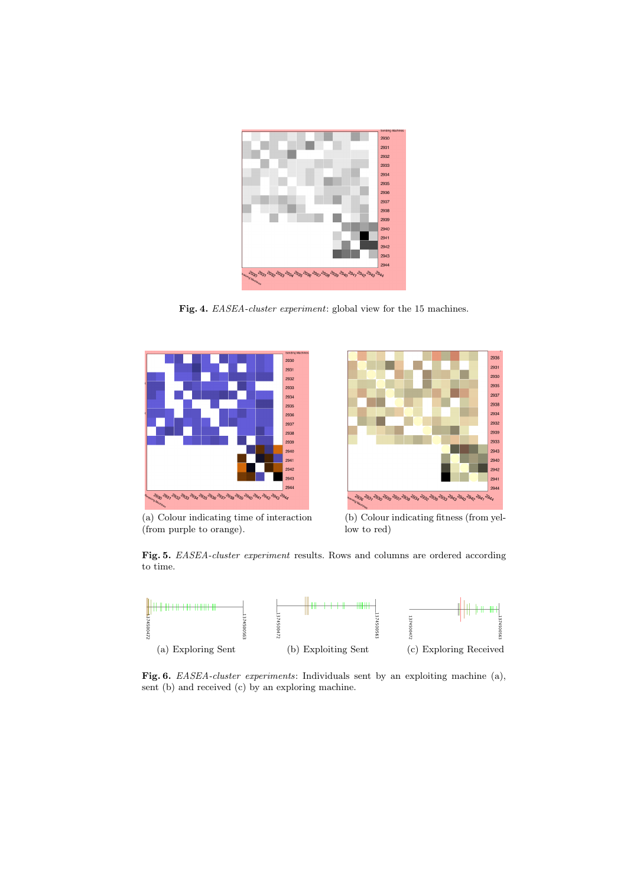

Fig. 4. EASEA-cluster experiment: global view for the 15 machines.

<span id="page-8-2"></span><span id="page-8-0"></span>

(a) Colour indicating time of interaction (from purple to orange).



<span id="page-8-1"></span>(b) Colour indicating fitness (from yellow to red)

Fig. 5. EASEA-cluster experiment results. Rows and columns are ordered according to time.



<span id="page-8-3"></span>Fig. 6. *EASEA-cluster experiments*: Individuals sent by an exploiting machine (a), sent (b) and received (c) by an exploring machine.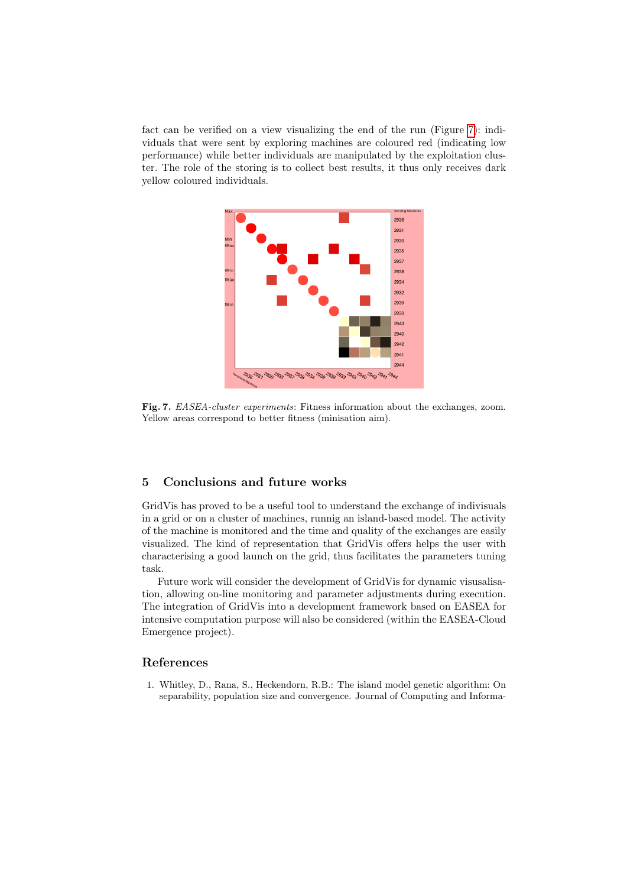fact can be verified on a view visualizing the end of the run (Figure [7\)](#page-9-2): individuals that were sent by exploring machines are coloured red (indicating low performance) while better individuals are manipulated by the exploitation cluster. The role of the storing is to collect best results, it thus only receives dark yellow coloured individuals.



<span id="page-9-2"></span>Fig. 7. EASEA-cluster experiments: Fitness information about the exchanges, zoom. Yellow areas correspond to better fitness (minisation aim).

# <span id="page-9-1"></span>5 Conclusions and future works

GridVis has proved to be a useful tool to understand the exchange of indivisuals in a grid or on a cluster of machines, runnig an island-based model. The activity of the machine is monitored and the time and quality of the exchanges are easily visualized. The kind of representation that GridVis offers helps the user with characterising a good launch on the grid, thus facilitates the parameters tuning task.

Future work will consider the development of GridVis for dynamic visusalisation, allowing on-line monitoring and parameter adjustments during execution. The integration of GridVis into a development framework based on EASEA for intensive computation purpose will also be considered (within the EASEA-Cloud Emergence project).

### References

<span id="page-9-0"></span>1. Whitley, D., Rana, S., Heckendorn, R.B.: The island model genetic algorithm: On separability, population size and convergence. Journal of Computing and Informa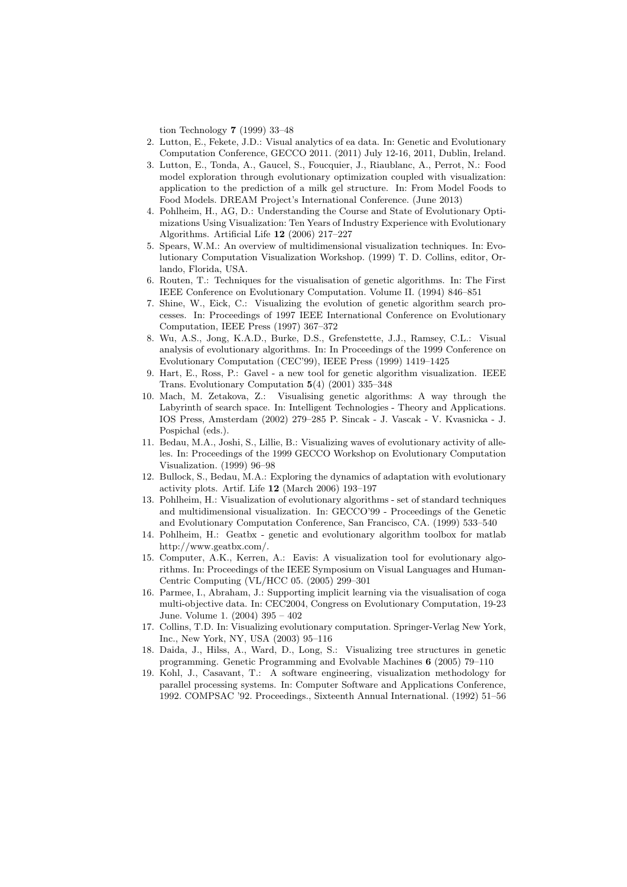tion Technology 7 (1999) 33–48

- <span id="page-10-0"></span>2. Lutton, E., Fekete, J.D.: Visual analytics of ea data. In: Genetic and Evolutionary Computation Conference, GECCO 2011. (2011) July 12-16, 2011, Dublin, Ireland.
- <span id="page-10-1"></span>3. Lutton, E., Tonda, A., Gaucel, S., Foucquier, J., Riaublanc, A., Perrot, N.: Food model exploration through evolutionary optimization coupled with visualization: application to the prediction of a milk gel structure. In: From Model Foods to Food Models. DREAM Project's International Conference. (June 2013)
- <span id="page-10-2"></span>4. Pohlheim, H., AG, D.: Understanding the Course and State of Evolutionary Optimizations Using Visualization: Ten Years of Industry Experience with Evolutionary Algorithms. Artificial Life 12 (2006) 217–227
- <span id="page-10-3"></span>5. Spears, W.M.: An overview of multidimensional visualization techniques. In: Evolutionary Computation Visualization Workshop. (1999) T. D. Collins, editor, Orlando, Florida, USA.
- <span id="page-10-4"></span>6. Routen, T.: Techniques for the visualisation of genetic algorithms. In: The First IEEE Conference on Evolutionary Computation. Volume II. (1994) 846–851
- <span id="page-10-5"></span>7. Shine, W., Eick, C.: Visualizing the evolution of genetic algorithm search processes. In: Proceedings of 1997 IEEE International Conference on Evolutionary Computation, IEEE Press (1997) 367–372
- <span id="page-10-6"></span>8. Wu, A.S., Jong, K.A.D., Burke, D.S., Grefenstette, J.J., Ramsey, C.L.: Visual analysis of evolutionary algorithms. In: In Proceedings of the 1999 Conference on Evolutionary Computation (CEC'99), IEEE Press (1999) 1419–1425
- <span id="page-10-7"></span>9. Hart, E., Ross, P.: Gavel - a new tool for genetic algorithm visualization. IEEE Trans. Evolutionary Computation 5(4) (2001) 335–348
- <span id="page-10-8"></span>10. Mach, M. Zetakova, Z.: Visualising genetic algorithms: A way through the Labyrinth of search space. In: Intelligent Technologies - Theory and Applications. IOS Press, Amsterdam (2002) 279–285 P. Sincak - J. Vascak - V. Kvasnicka - J. Pospichal (eds.).
- <span id="page-10-9"></span>11. Bedau, M.A., Joshi, S., Lillie, B.: Visualizing waves of evolutionary activity of alleles. In: Proceedings of the 1999 GECCO Workshop on Evolutionary Computation Visualization. (1999) 96–98
- <span id="page-10-10"></span>12. Bullock, S., Bedau, M.A.: Exploring the dynamics of adaptation with evolutionary activity plots. Artif. Life 12 (March 2006) 193–197
- <span id="page-10-11"></span>13. Pohlheim, H.: Visualization of evolutionary algorithms - set of standard techniques and multidimensional visualization. In: GECCO'99 - Proceedings of the Genetic and Evolutionary Computation Conference, San Francisco, CA. (1999) 533–540
- <span id="page-10-12"></span>14. Pohlheim, H.: Geatbx - genetic and evolutionary algorithm toolbox for matlab http://www.geatbx.com/.
- <span id="page-10-13"></span>15. Computer, A.K., Kerren, A.: Eavis: A visualization tool for evolutionary algorithms. In: Proceedings of the IEEE Symposium on Visual Languages and Human-Centric Computing (VL/HCC 05. (2005) 299–301
- <span id="page-10-14"></span>16. Parmee, I., Abraham, J.: Supporting implicit learning via the visualisation of coga multi-objective data. In: CEC2004, Congress on Evolutionary Computation, 19-23 June. Volume 1. (2004) 395 – 402
- <span id="page-10-15"></span>17. Collins, T.D. In: Visualizing evolutionary computation. Springer-Verlag New York, Inc., New York, NY, USA (2003) 95–116
- <span id="page-10-16"></span>18. Daida, J., Hilss, A., Ward, D., Long, S.: Visualizing tree structures in genetic programming. Genetic Programming and Evolvable Machines 6 (2005) 79–110
- <span id="page-10-17"></span>19. Kohl, J., Casavant, T.: A software engineering, visualization methodology for parallel processing systems. In: Computer Software and Applications Conference, 1992. COMPSAC '92. Proceedings., Sixteenth Annual International. (1992) 51–56